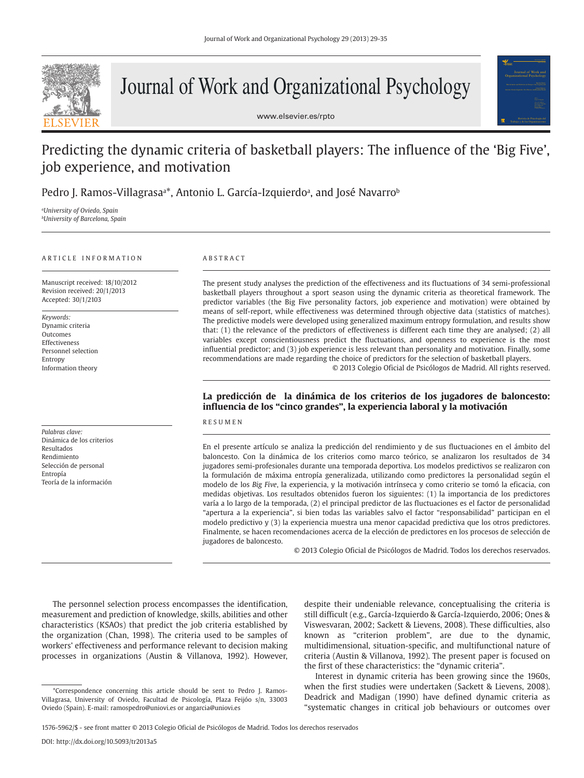

# Journal of Work and Organizational Psychology

www.elsevier.es/rpto



# Predicting the dynamic criteria of basketball players: The influence of the 'Big Five', job experience, and motivation

Pedro J. Ramos-Villagrasa<sup>a\*</sup>, Antonio L. García-Izquierdoª, and José Navarro<sup>ь</sup>

*a University of Oviedo, Spain b University of Barcelona, Spain*

#### ARTICLE INFORMATION

Manuscript received: 18/10/2012 Revision received: 20/1/2013 Accepted: 30/1/2103

*Keywords:*  Dynamic criteria Outcomes Effectiveness Personnel selection Entropy Information theory

*Palabras clave:* Dinámica de los criterios Resultados Rendimiento Selección de personal Entropía Teoría de la información

# ABSTRACT

The present study analyses the prediction of the effectiveness and its fluctuations of 34 semi-professional basketball players throughout a sport season using the dynamic criteria as theoretical framework. The predictor variables (the Big Five personality factors, job experience and motivation) were obtained by means of self-report, while effectiveness was determined through objective data (statistics of matches). The predictive models were developed using generalized maximum entropy formulation, and results show that: (1) the relevance of the predictors of effectiveness is different each time they are analysed; (2) all variables except conscientiousness predict the fluctuations, and openness to experience is the most influential predictor; and (3) job experience is less relevant than personality and motivation. Finally, some recommendations are made regarding the choice of predictors for the selection of basketball players.

© 2013 Colegio Oficial de Psicólogos de Madrid. All rights reserved.

# **La predicción de la dinámica de los criterios de los jugadores de baloncesto: influencia de los "cinco grandes", la experiencia laboral y la motivación**

# RESUMEN

En el presente artículo se analiza la predicción del rendimiento y de sus fluctuaciones en el ámbito del baloncesto. Con la dinámica de los criterios como marco teórico, se analizaron los resultados de 34 jugadores semi-profesionales durante una temporada deportiva. Los modelos predictivos se realizaron con la formulación de máxima entropía generalizada, utilizando como predictores la personalidad según el modelo de los *Big Five*, la experiencia, y la motivación intrínseca y como criterio se tomó la eficacia, con medidas objetivas. Los resultados obtenidos fueron los siguientes: (1) la importancia de los predictores varía a lo largo de la temporada, (2) el principal predictor de las fluctuaciones es el factor de personalidad "apertura a la experiencia", si bien todas las variables salvo el factor "responsabilidad" participan en el modelo predictivo y (3) la experiencia muestra una menor capacidad predictiva que los otros predictores. Finalmente, se hacen recomendaciones acerca de la elección de predictores en los procesos de selección de jugadores de baloncesto.

© 2013 Colegio Oficial de Psicólogos de Madrid. Todos los derechos reservados.

The personnel selection process encompasses the identification, measurement and prediction of knowledge, skills, abilities and other characteristics (KSAOs) that predict the job criteria established by the organization (Chan, 1998). The criteria used to be samples of workers' effectiveness and performance relevant to decision making processes in organizations (Austin & Villanova, 1992). However,

despite their undeniable relevance, conceptualising the criteria is still difficult (e.g., García-Izquierdo & García-Izquierdo, 2006; Ones & Viswesvaran, 2002; Sackett & Lievens, 2008). These difficulties, also known as "criterion problem", are due to the dynamic, multidimensional, situation-specific, and multifunctional nature of criteria (Austin & Villanova, 1992). The present paper is focused on the first of these characteristics: the "dynamic criteria".

Interest in dynamic criteria has been growing since the 1960s, when the first studies were undertaken (Sackett & Lievens, 2008). Deadrick and Madigan (1990) have defined dynamic criteria as "systematic changes in critical job behaviours or outcomes over

<sup>\*</sup>Correspondence concerning this article should be sent to Pedro J. Ramos-Villagrasa, University of Oviedo, Facultad de Psicología, Plaza Feijóo s/n, 33003 Oviedo (Spain). E-mail: ramospedro@uniovi.es or angarcia@uniovi.es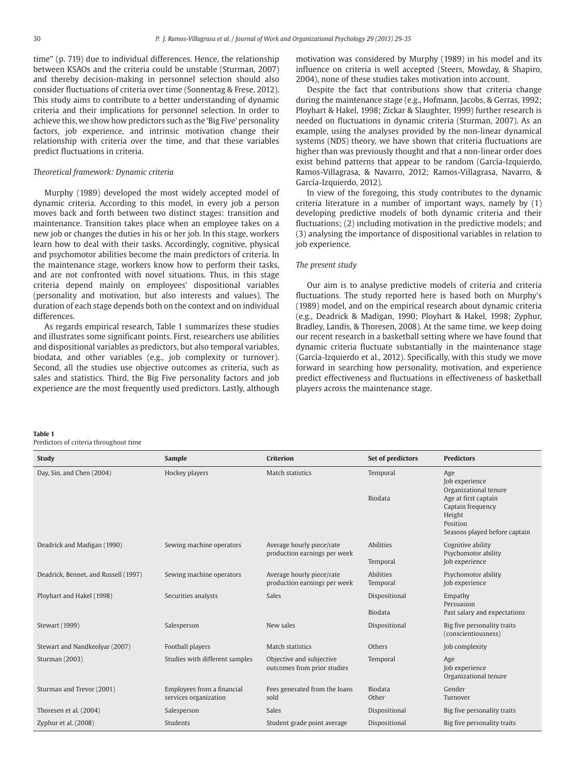time" (p. 719) due to individual differences. Hence, the relationship between KSAOs and the criteria could be unstable (Sturman, 2007) and thereby decision-making in personnel selection should also consider fluctuations of criteria over time (Sonnentag & Frese, 2012). This study aims to contribute to a better understanding of dynamic criteria and their implications for personnel selection. In order to achieve this, we show how predictors such as the 'Big Five' personality factors, job experience, and intrinsic motivation change their relationship with criteria over the time, and that these variables predict fluctuations in criteria.

# *Theoretical framework: Dynamic criteria*

Murphy (1989) developed the most widely accepted model of dynamic criteria. According to this model, in every job a person moves back and forth between two distinct stages: transition and maintenance. Transition takes place when an employee takes on a new job or changes the duties in his or her job. In this stage, workers learn how to deal with their tasks. Accordingly, cognitive, physical and psychomotor abilities become the main predictors of criteria. In the maintenance stage, workers know how to perform their tasks, and are not confronted with novel situations. Thus, in this stage criteria depend mainly on employees' dispositional variables (personality and motivation, but also interests and values). The duration of each stage depends both on the context and on individual differences.

As regards empirical research, Table 1 summarizes these studies and illustrates some significant points. First, researchers use abilities and dispositional variables as predictors, but also temporal variables, biodata, and other variables (e.g., job complexity or turnover). Second, all the studies use objective outcomes as criteria, such as sales and statistics. Third, the Big Five personality factors and job experience are the most frequently used predictors. Lastly, although motivation was considered by Murphy (1989) in his model and its influence on criteria is well accepted (Steers, Mowday, & Shapiro, 2004), none of these studies takes motivation into account.

Despite the fact that contributions show that criteria change during the maintenance stage (e.g., Hofmann, Jacobs, & Gerras, 1992; Ployhart & Hakel, 1998; Zickar & Slaughter, 1999) further research is needed on fluctuations in dynamic criteria (Sturman, 2007). As an example, using the analyses provided by the non-linear dynamical systems (NDS) theory, we have shown that criteria fluctuations are higher than was previously thought and that a non-linear order does exist behind patterns that appear to be random (García-Izquierdo, Ramos-Villagrasa, & Navarro, 2012; Ramos-Villagrasa, Navarro, & García-Izquierdo, 2012).

In view of the foregoing, this study contributes to the dynamic criteria literature in a number of important ways, namely by (1) developing predictive models of both dynamic criteria and their fluctuations; (2) including motivation in the predictive models; and (3) analysing the importance of dispositional variables in relation to job experience.

# *The present study*

Our aim is to analyse predictive models of criteria and criteria fluctuations. The study reported here is based both on Murphy's (1989) model, and on the empirical research about dynamic criteria (e.g., Deadrick & Madigan, 1990; Ployhart & Hakel, 1998; Zyphur, Bradley, Landis, & Thoresen, 2008). At the same time, we keep doing our recent research in a basketball setting where we have found that dynamic criteria fluctuate substantially in the maintenance stage (García-Izquierdo et al., 2012). Specifically, with this study we move forward in searching how personality, motivation, and experience predict effectiveness and fluctuations in effectiveness of basketball players across the maintenance stage.

#### **Table 1**

Predictors of criteria throughout time

| <b>Study</b>                         | <b>Sample</b>                                       | <b>Criterion</b>                                          | Set of predictors               | <b>Predictors</b>                                                                                                                                  |  |  |  |
|--------------------------------------|-----------------------------------------------------|-----------------------------------------------------------|---------------------------------|----------------------------------------------------------------------------------------------------------------------------------------------------|--|--|--|
| Day, Sin, and Chen (2004)            | Hockey players                                      | Match statistics                                          | Temporal<br><b>Biodata</b>      | Age<br>Job experience<br>Organizational tenure<br>Age at first captain<br>Captain frequency<br>Height<br>Position<br>Seasons played before captain |  |  |  |
| Deadrick and Madigan (1990)          | Sewing machine operators                            | Average hourly piece/rate<br>production earnings per week | Abilities<br>Temporal           | Cognitive ability<br>Psychomotor ability<br>Job experience                                                                                         |  |  |  |
| Deadrick, Bennet, and Russell (1997) | Sewing machine operators                            | Average hourly piece/rate<br>production earnings per week | Abilities<br>Temporal           | Psychomotor ability<br>Job experience                                                                                                              |  |  |  |
| Ployhart and Hakel (1998)            | Securities analysts                                 | <b>Sales</b>                                              | Dispositional<br><b>Biodata</b> | Empathy<br>Persuasion<br>Past salary and expectations                                                                                              |  |  |  |
| Stewart (1999)                       | Salesperson                                         | New sales                                                 | Dispositional                   | Big five personality traits<br>(conscientiousness)                                                                                                 |  |  |  |
| Stewart and Nandkeolyar (2007)       | Football players                                    | Match statistics                                          | Others                          | Job complexity                                                                                                                                     |  |  |  |
| Sturman (2003)                       | Studies with different samples                      | Objective and subjective<br>outcomes from prior studies   | Temporal                        | Age<br>Job experience<br>Organizational tenure                                                                                                     |  |  |  |
| Sturman and Trevor (2001)            | Employees from a financial<br>services organization | Fees generated from the loans<br>sold                     | <b>Biodata</b><br>Other         | Gender<br>Turnover                                                                                                                                 |  |  |  |
| Thoresen et al. (2004)               | Salesperson                                         | Sales                                                     | Dispositional                   | Big five personality traits                                                                                                                        |  |  |  |
| Zyphur et al. (2008)                 | Students                                            | Student grade point average                               | Dispositional                   | Big five personality traits                                                                                                                        |  |  |  |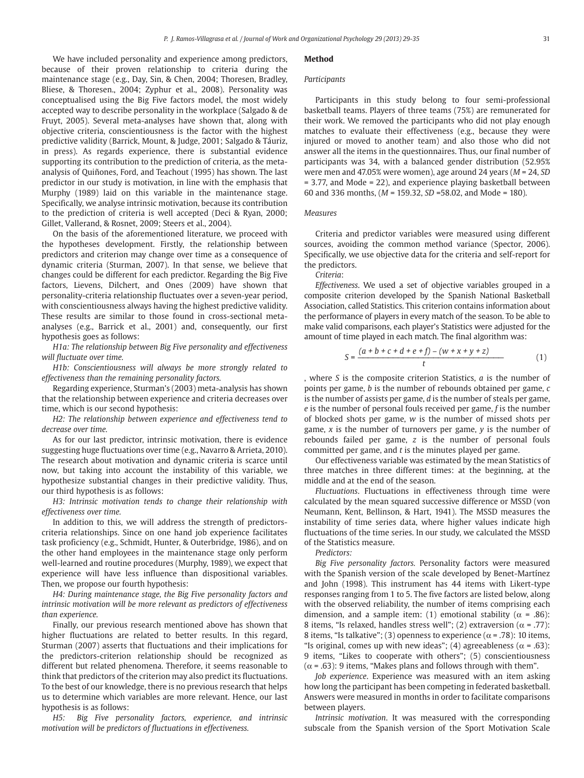We have included personality and experience among predictors, because of their proven relationship to criteria during the maintenance stage (e.g., Day, Sin, & Chen, 2004; Thoresen, Bradley, Bliese, & Thoresen., 2004; Zyphur et al., 2008). Personality was conceptualised using the Big Five factors model, the most widely accepted way to describe personality in the workplace (Salgado & de Fruyt, 2005). Several meta-analyses have shown that, along with objective criteria, conscientiousness is the factor with the highest predictive validity (Barrick, Mount, & Judge, 2001; Salgado & Táuriz, in press). As regards experience, there is substantial evidence supporting its contribution to the prediction of criteria, as the metaanalysis of Quiñones, Ford, and Teachout (1995) has shown. The last predictor in our study is motivation, in line with the emphasis that Murphy (1989) laid on this variable in the maintenance stage. Specifically, we analyse intrinsic motivation, because its contribution to the prediction of criteria is well accepted (Deci & Ryan, 2000; Gillet, Vallerand, & Rosnet, 2009; Steers et al., 2004).

On the basis of the aforementioned literature, we proceed with the hypotheses development. Firstly, the relationship between predictors and criterion may change over time as a consequence of dynamic criteria (Sturman, 2007). In that sense, we believe that changes could be different for each predictor. Regarding the Big Five factors, Lievens, Dilchert, and Ones (2009) have shown that personality-criteria relationship fluctuates over a seven-year period, with conscientiousness always having the highest predictive validity. These results are similar to those found in cross-sectional metaanalyses (e.g., Barrick et al., 2001) and, consequently, our first hypothesis goes as follows:

*H1a: The relationship between Big Five personality and effectiveness will fluctuate over time.*

*H1b: Conscientiousness will always be more strongly related to effectiveness than the remaining personality factors.*

Regarding experience, Sturman's (2003) meta-analysis has shown that the relationship between experience and criteria decreases over time, which is our second hypothesis:

*H2: The relationship between experience and effectiveness tend to decrease over time.*

As for our last predictor, intrinsic motivation, there is evidence suggesting huge fluctuations over time (e.g., Navarro & Arrieta, 2010). The research about motivation and dynamic criteria is scarce until now, but taking into account the instability of this variable, we hypothesize substantial changes in their predictive validity. Thus, our third hypothesis is as follows:

*H3: Intrinsic motivation tends to change their relationship with effectiveness over time.*

In addition to this, we will address the strength of predictorscriteria relationships. Since on one hand job experience facilitates task proficiency (e.g., Schmidt, Hunter, & Outerbridge, 1986), and on the other hand employees in the maintenance stage only perform well-learned and routine procedures (Murphy, 1989), we expect that experience will have less influence than dispositional variables. Then, we propose our fourth hypothesis:

*H4: During maintenance stage, the Big Five personality factors and intrinsic motivation will be more relevant as predictors of effectiveness than experience.*

Finally, our previous research mentioned above has shown that higher fluctuations are related to better results. In this regard, Sturman (2007) asserts that fluctuations and their implications for the predictors-criterion relationship should be recognized as different but related phenomena. Therefore, it seems reasonable to think that predictors of the criterion may also predict its fluctuations. To the best of our knowledge, there is no previous research that helps us to determine which variables are more relevant. Hence, our last hypothesis is as follows:

*H5: Big Five personality factors, experience, and intrinsic motivation will be predictors of fluctuations in effectiveness.*

# **Method**

#### *Participants*

Participants in this study belong to four semi-professional basketball teams. Players of three teams (75%) are remunerated for their work. We removed the participants who did not play enough matches to evaluate their effectiveness (e.g., because they were injured or moved to another team) and also those who did not answer all the items in the questionnaires. Thus, our final number of participants was 34, with a balanced gender distribution (52.95% were men and 47.05% were women), age around 24 years (*M* = 24, *SD* = 3.77, and Mode = 22), and experience playing basketball between 60 and 336 months, (*M* = 159.32, *SD* =58.02, and Mode = 180).

# *Measures*

Criteria and predictor variables were measured using different sources, avoiding the common method variance (Spector, 2006). Specifically, we use objective data for the criteria and self-report for the predictors.

# *Criteria*:

*Effectiveness*. We used a set of objective variables grouped in a composite criterion developed by the Spanish National Basketball Association, called Statistics. This criterion contains information about the performance of players in every match of the season. To be able to make valid comparisons, each player's Statistics were adjusted for the amount of time played in each match. The final algorithm was:

$$
S = \frac{(a+b+c+d+e+f) - (w+x+y+z)}{t}
$$
 (1)

, where *S* is the composite criterion Statistics, *a* is the number of points per game, *b* is the number of rebounds obtained per game, *c* is the number of assists per game, *d* is the number of steals per game, *e* is the number of personal fouls received per game, *f* is the number of blocked shots per game, *w* is the number of missed shots per game, *x* is the number of turnovers per game, *y* is the number of rebounds failed per game, *z* is the number of personal fouls committed per game, and *t* is the minutes played per game.

Our effectiveness variable was estimated by the mean Statistics of three matches in three different times: at the beginning, at the middle and at the end of the season.

*Fluctuations*. Fluctuations in effectiveness through time were calculated by the mean squared successive difference or MSSD (von Neumann, Kent, Bellinson, & Hart, 1941). The MSSD measures the instability of time series data, where higher values indicate high fluctuations of the time series. In our study, we calculated the MSSD of the Statistics measure.

#### *Predictors:*

*Big Five personality factors.* Personality factors were measured with the Spanish version of the scale developed by Benet-Martínez and John (1998). This instrument has 44 items with Likert-type responses ranging from 1 to 5. The five factors are listed below, along with the observed reliability, the number of items comprising each dimension, and a sample item: (1) emotional stability ( $\alpha$  = .86): 8 items, "Is relaxed, handles stress well"; (2) extraversion ( $\alpha$  = .77): 8 items, "Is talkative"; (3) openness to experience ( $\alpha$  = .78): 10 items, "Is original, comes up with new ideas"; (4) agreeableness ( $\alpha$  = .63): 9 items, "Likes to cooperate with others"; (5) conscientiousness  $(\alpha = .63)$ : 9 items, "Makes plans and follows through with them".

*Job experience*. Experience was measured with an item asking how long the participant has been competing in federated basketball. Answers were measured in months in order to facilitate comparisons between players.

*Intrinsic motivation*. It was measured with the corresponding subscale from the Spanish version of the Sport Motivation Scale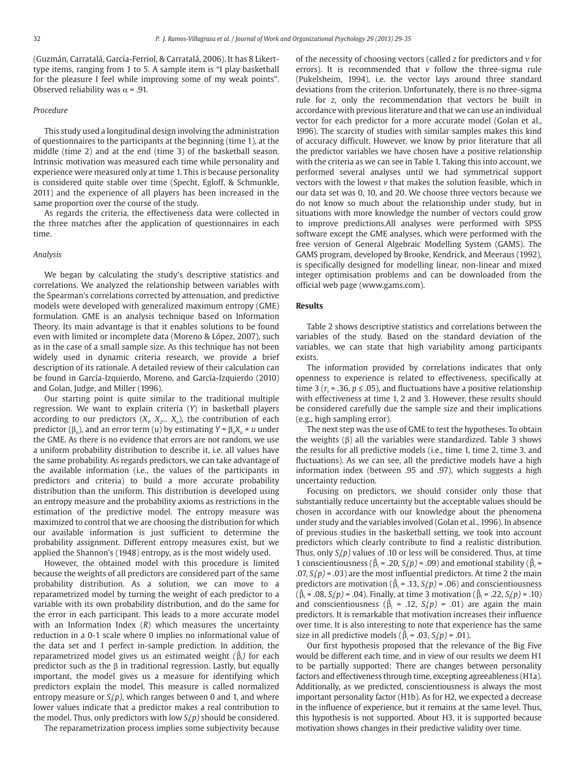(Guzmán, Carratalá, García-Ferriol, & Carratalá, 2006). It has 8 Likerttype items, ranging from 1 to 5. A sample item is "I play basketball for the pleasure I feel while improving some of my weak points". Observed reliability was  $\alpha$  = .91.

#### *Procedure*

This study used a longitudinal design involving the administration of questionnaires to the participants at the beginning (time 1), at the middle (time 2) and at the end (time 3) of the basketball season. Intrinsic motivation was measured each time while personality and experience were measured only at time 1. This is because personality is considered quite stable over time (Specht, Egloff, & Schmunkle, 2011) and the experience of all players has been increased in the same proportion over the course of the study.

As regards the criteria, the effectiveness data were collected in the three matches after the application of questionnaires in each time.

#### *Analysis*

We began by calculating the study's descriptive statistics and correlations. We analyzed the relationship between variables with the Spearman's correlations corrected by attenuation, and predictive models were developed with generalized maximum entropy (GME) formulation. GME is an analysis technique based on Information Theory. Its main advantage is that it enables solutions to be found even with limited or incomplete data (Moreno & López, 2007), such as in the case of a small sample size. As this technique has not been widely used in dynamic criteria research, we provide a brief description of its rationale. A detailed review of their calculation can be found in García-Izquierdo, Moreno, and García-Izquierdo (2010) and Golan, Judge, and Miller (1996).

Our starting point is quite similar to the traditional multiple regression. We want to explain criteria (*Y*) in basketball players according to our predictors  $(X_1, X_2, ..., X_n)$ , the contribution of each predictor ( $β<sub>n</sub>$ ), and an error term (*u*) by estimating *Y* =  $β<sub>n</sub>X<sub>n</sub> + u$  under the GME. As there is no evidence that errors are not random, we use a uniform probability distribution to describe it, i.e. all values have the same probability. As regards predictors, we can take advantage of the available information (i.e., the values of the participants in predictors and criteria) to build a more accurate probability distribution than the uniform. This distribution is developed using an entropy measure and the probability axioms as restrictions in the estimation of the predictive model. The entropy measure was maximized to control that we are choosing the distribution for which our available information is just sufficient to determine the probability assignment. Different entropy measures exist, but we applied the Shannon's (1948) entropy, as is the most widely used.

However, the obtained model with this procedure is limited because the weights of all predictors are considered part of the same probability distribution. As a solution, we can move to a reparametrized model by turning the weight of each predictor to a variable with its own probability distribution, and do the same for the error in each participant. This leads to a more accurate model with an Information Index (*R*) which measures the uncertainty reduction in a 0-1 scale where 0 implies no informational value of the data set and 1 perfect in-sample prediction. In addition, the reparametrized model gives us an estimated weight *(*β*<sup>i</sup> )* for each predictor such as the β in traditional regression. Lastly, but equally important, the model gives us a measure for identifying which predictors explain the model. This measure is called normalized entropy measure or *Si (p)*, which ranges between 0 and 1, and where lower values indicate that a predictor makes a real contribution to the model. Thus, only predictors with low *Si (p)* should be considered.

The reparametrization process implies some subjectivity because

of the necessity of choosing vectors (called *z* for predictors and *v* for errors). It is recommended that *v* follow the three-sigma rule (Pukelsheim, 1994), i.e. the vector lays around three standard deviations from the criterion. Unfortunately, there is no three-sigma rule for *z*, only the recommendation that vectors be built in accordance with previous literature and that we can use an individual vector for each predictor for a more accurate model (Golan et al., 1996). The scarcity of studies with similar samples makes this kind of accuracy difficult. However, we know by prior literature that all the predictor variables we have chosen have a positive relationship with the criteria as we can see in Table 1. Taking this into account, we performed several analyses until we had symmetrical support vectors with the lowest *v* that makes the solution feasible, which in our data set was 0, 10, and 20. We choose three vectors because we do not know so much about the relationship under study, but in situations with more knowledge the number of vectors could grow to improve predictions.All analyses were performed with SPSS software except the GME analyses, which were performed with the free version of General Algebraic Modelling System (GAMS). The GAMS program, developed by Brooke, Kendrick, and Meeraus (1992), is specifically designed for modelling linear, non-linear and mixed integer optimisation problems and can be downloaded from the official web page (www.gams.com).

#### **Results**

Table 2 shows descriptive statistics and correlations between the variables of the study. Based on the standard deviation of the variables, we can state that high variability among participants exists.

The information provided by correlations indicates that only openness to experience is related to effectiveness, specifically at time 3 ( $r<sub>s</sub>$  = .36,  $p \le$  .05), and fluctuations have a positive relationship with effectiveness at time 1, 2 and 3. However, these results should be considered carefully due the sample size and their implications (e.g., high sampling error).

The next step was the use of GME to test the hypotheses. To obtain the weights  $(β)$  all the variables were standardized. Table 3 shows the results for all predictive models (i.e., time 1, time 2, time 3, and fluctuations). As we can see, all the predictive models have a high information index (between .95 and .97), which suggests a high uncertainty reduction.

Focusing on predictors, we should consider only those that substantially reduce uncertainty but the acceptable values should be chosen in accordance with our knowledge about the phenomena under study and the variables involved (Golan et al., 1996). In absence of previous studies in the basketball setting, we took into account predictors which clearly contribute to find a realistic distribution. Thus, only *Si (p)* values of .10 or less will be considered. Thus, at time 1 conscientiousness ( $\hat{\beta}_i$  = .20, *S<sub>i</sub>*(*p*) = .09) and emotional stability ( $\hat{\beta}_i$  =  $(0.07, S_i(p) = 0.03)$  are the most influential predictors. At time 2 the main predictors are motivation ( $\hat{\beta}_i$  = .13, *S<sub>i</sub>*( $p$ ) = .06) and conscientiousness (β*i* = .08, *Si (p)* = .04). Finally, at time 3 motivation (β*<sup>i</sup>* = .22, *Si (p)* = .10) and conscientiousness ( $\hat{\beta}_i$  = .12,  $S_i(p)$  = .01) are again the main predictors. It is remarkable that motivation increases their influence over time. It is also interesting to note that experience has the same size in all predictive models ( $\hat{\beta}_i$  = .03, *S*<sub>i</sub>(*p*) = .01).

Our first hypothesis proposed that the relevance of the Big Five would be different each time, and in view of our results we deem H1 to be partially supported: There are changes between personality factors and effectiveness through time, excepting agreeableness (H1a). Additionally, as we predicted, conscientiousness is always the most important personality factor (H1b). As for H2, we expected a decrease in the influence of experience, but it remains at the same level. Thus, this hypothesis is not supported. About H3, it is supported because motivation shows changes in their predictive validity over time.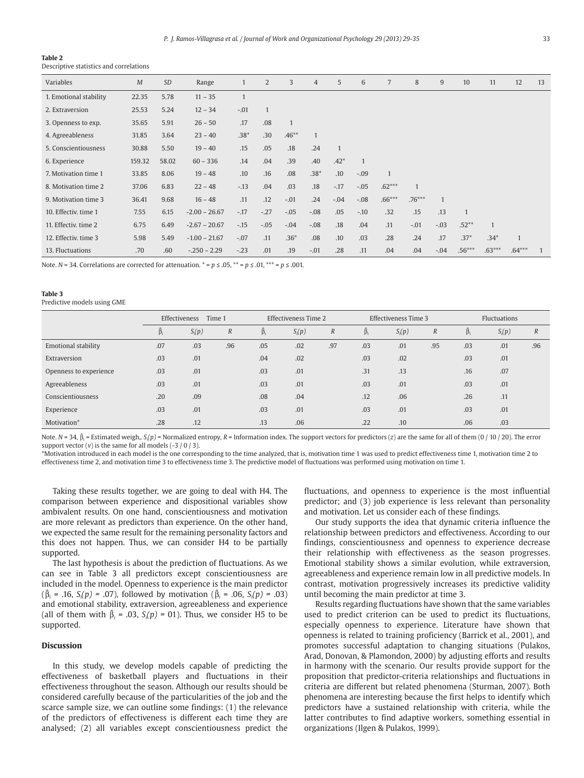#### **Table 2**

Descriptive statistics and correlations

| Variables              | M      | <b>SD</b> | Range           |              | 2      | 3            | $\overline{4}$ | 5              | 6            | 7            | 8        | 9      | 10             | 11           | 12           | 13             |
|------------------------|--------|-----------|-----------------|--------------|--------|--------------|----------------|----------------|--------------|--------------|----------|--------|----------------|--------------|--------------|----------------|
| 1. Emotional stability | 22.35  | 5.78      | $11 - 35$       | $\mathbf{1}$ |        |              |                |                |              |              |          |        |                |              |              |                |
| 2. Extraversion        | 25.53  | 5.24      | $12 - 34$       | $-.01$       |        |              |                |                |              |              |          |        |                |              |              |                |
| 3. Openness to exp.    | 35.65  | 5.91      | $26 - 50$       | .17          | .08    | $\mathbf{1}$ |                |                |              |              |          |        |                |              |              |                |
| 4. Agreeableness       | 31.85  | 3.64      | $23 - 40$       | $.38*$       | .30    | $.46**$      | $\overline{1}$ |                |              |              |          |        |                |              |              |                |
| 5. Conscientiousness   | 30.88  | 5.50      | $19 - 40$       | .15          | .05    | .18          | .24            | $\overline{1}$ |              |              |          |        |                |              |              |                |
| 6. Experience          | 159.32 | 58.02     | $60 - 336$      | .14          | .04    | .39          | .40            | $.42*$         | $\mathbf{1}$ |              |          |        |                |              |              |                |
| 7. Motivation time 1   | 33.85  | 8.06      | $19 - 48$       | .10          | .16    | .08          | $.38*$         | .10            | $-.09$       | $\mathbf{1}$ |          |        |                |              |              |                |
| 8. Motivation time 2   | 37.06  | 6.83      | $22 - 48$       | $-13$        | .04    | .03          | .18            | $-.17$         | $-.05$       | $.62***$     |          |        |                |              |              |                |
| 9. Motivation time 3   | 36.41  | 9.68      | $16 - 48$       | .11          | .12    | $-.01$       | .24            | $-.04$         | $-.08$       | $.66***$     | $.76***$ | 1      |                |              |              |                |
| 10. Effectiv. time 1   | 7.55   | 6.15      | $-2.00 - 26.67$ | $-.17$       | $-.27$ | $-.05$       | $-.08$         | .05            | $-.10$       | .32          | .15      | .13    | $\overline{1}$ |              |              |                |
| 11. Effectiv. time 2   | 6.75   | 6.49      | $-2.67 - 20.67$ | $-.15$       | $-.05$ | $-.04$       | $-.08$         | .18            | .04          | .11          | $-.01$   | $-.03$ | $.52**$        | $\mathbf{1}$ |              |                |
| 12. Effectiv, time 3   | 5.98   | 5.49      | $-1.00 - 21.67$ | $-.07$       | .11    | $.36*$       | .08            | .10            | .03          | .28          | .24      | .17    | $.37*$         | $.34*$       | $\mathbf{1}$ |                |
| 13. Fluctuations       | .70    | .60       | $-.250 - 2.29$  | $-.23$       | .01    | .19          | $-.01$         | .28            | .11          | .04          | .04      | $-.04$ | $.56***$       | $.63***$     | $.64***$     | $\overline{1}$ |

Note. *N* = 34. Correlations are corrected for attenuation. \* = *p* ≤ .05, \*\* = *p* ≤ .01, \*\*\* = *p* ≤ .001.

#### **Table 3**

Predictive models using GME

|                        | Effectiveness<br>Time 1 |          |                  | Effectiveness Time 2 |          |                  | Effectiveness Time 3 |          |                  | <b>Fluctuations</b> |          |                  |  |
|------------------------|-------------------------|----------|------------------|----------------------|----------|------------------|----------------------|----------|------------------|---------------------|----------|------------------|--|
|                        | $\beta_i$               | $S_i(p)$ | $\boldsymbol{R}$ | $\beta_i$            | $S_i(p)$ | $\boldsymbol{R}$ | $\beta_i$            | $S_i(p)$ | $\boldsymbol{R}$ | $\beta_i$           | $S_i(p)$ | $\boldsymbol{R}$ |  |
| Emotional stability    | .07                     | .03      | .96              | .05                  | .02      | .97              | .03                  | .01      | .95              | .03                 | .01      | .96              |  |
| Extraversion           | .03                     | .01      |                  | .04                  | .02      |                  | .03                  | .02      |                  | .03                 | .01      |                  |  |
| Openness to experience | .03                     | .01      |                  | .03                  | .01      |                  | .31                  | .13      |                  | .16                 | .07      |                  |  |
| Agreeableness          | .03                     | .01      |                  | .03                  | .01      |                  | .03                  | .01      |                  | .03                 | .01      |                  |  |
| Conscientiousness      | .20                     | .09      |                  | .08                  | .04      |                  | .12                  | .06      |                  | .26                 | .11      |                  |  |
| Experience             | .03                     | .01      |                  | .03                  | .01      |                  | .03                  | .01      |                  | .03                 | .01      |                  |  |
| Motivation*            | .28                     | .12      |                  | .13                  | .06      |                  | .22                  | .10      |                  | .06                 | .03      |                  |  |

Note. *N* = 34, β*<sup>i</sup>* = Estimated weigh,*. Si (p) =* Normalized entropy*, R* = Information index. The support vectors for predictors (*z*) are the same for all of them (0 / 10 / 20). The error support vector  $(v)$  is the same for all models  $(-3/0/3)$ .

\*Motivation introduced in each model is the one corresponding to the time analyzed, that is, motivation time 1 was used to predict effectiveness time 1, motivation time 2 to effectiveness time 2, and motivation time 3 to effectiveness time 3. The predictive model of fluctuations was performed using motivation on time 1.

Taking these results together, we are going to deal with H4. The comparison between experience and dispositional variables show ambivalent results. On one hand, conscientiousness and motivation are more relevant as predictors than experience. On the other hand, we expected the same result for the remaining personality factors and this does not happen. Thus, we can consider H4 to be partially supported.

The last hypothesis is about the prediction of fluctuations. As we can see in Table 3 all predictors except conscientiousness are included in the model. Openness to experience is the main predictor  $(\hat{\beta}_i = .16, S_i(p) = .07)$ , followed by motivation ( $\hat{\beta}_i = .06, S_i(p) = .03)$ ) and emotional stability, extraversion, agreeableness and experience (all of them with  $\hat{\beta}_i = .03$ ,  $S_i(p) = 01$ ). Thus, we consider H5 to be supported.

# **Discussion**

In this study, we develop models capable of predicting the effectiveness of basketball players and fluctuations in their effectiveness throughout the season. Although our results should be considered carefully because of the particularities of the job and the scarce sample size, we can outline some findings: (1) the relevance of the predictors of effectiveness is different each time they are analysed; (2) all variables except conscientiousness predict the fluctuations, and openness to experience is the most influential predictor; and (3) job experience is less relevant than personality and motivation. Let us consider each of these findings.

Our study supports the idea that dynamic criteria influence the relationship between predictors and effectiveness. According to our findings, conscientiousness and openness to experience decrease their relationship with effectiveness as the season progresses. Emotional stability shows a similar evolution, while extraversion, agreeableness and experience remain low in all predictive models. In contrast, motivation progressively increases its predictive validity until becoming the main predictor at time 3.

Results regarding fluctuations have shown that the same variables used to predict criterion can be used to predict its fluctuations, especially openness to experience. Literature have shown that openness is related to training proficiency (Barrick et al., 2001), and promotes successful adaptation to changing situations (Pulakos, Arad, Donovan, & Plamondon, 2000) by adjusting efforts and results in harmony with the scenario. Our results provide support for the proposition that predictor-criteria relationships and fluctuations in criteria are different but related phenomena (Sturman, 2007). Both phenomena are interesting because the first helps to identify which predictors have a sustained relationship with criteria, while the latter contributes to find adaptive workers, something essential in organizations (Ilgen & Pulakos, 1999).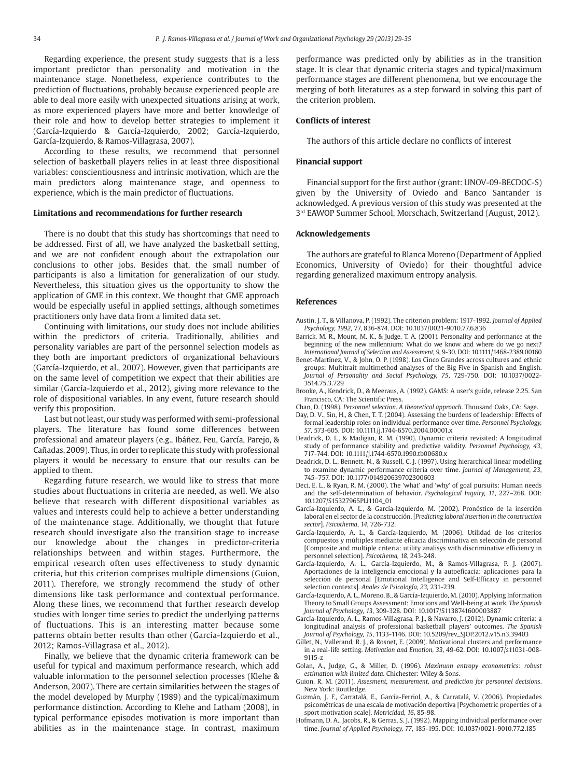Regarding experience, the present study suggests that is a less important predictor than personality and motivation in the maintenance stage. Nonetheless, experience contributes to the prediction of fluctuations, probably because experienced people are able to deal more easily with unexpected situations arising at work, as more experienced players have more and better knowledge of their role and how to develop better strategies to implement it (García-Izquierdo & García-Izquierdo, 2002; García-Izquierdo, García-Izquierdo, & Ramos-Villagrasa, 2007).

According to these results, we recommend that personnel selection of basketball players relies in at least three dispositional variables: conscientiousness and intrinsic motivation, which are the main predictors along maintenance stage, and openness to experience, which is the main predictor of fluctuations.

#### **Limitations and recommendations for further research**

There is no doubt that this study has shortcomings that need to be addressed. First of all, we have analyzed the basketball setting, and we are not confident enough about the extrapolation our conclusions to other jobs. Besides that, the small number of participants is also a limitation for generalization of our study. Nevertheless, this situation gives us the opportunity to show the application of GME in this context. We thought that GME approach would be especially useful in applied settings, although sometimes practitioners only have data from a limited data set.

Continuing with limitations, our study does not include abilities within the predictors of criteria. Traditionally, abilities and personality variables are part of the personnel selection models as they both are important predictors of organizational behaviours (García-Izquierdo, et al., 2007). However, given that participants are on the same level of competition we expect that their abilities are similar (García-Izquierdo et al., 2012), giving more relevance to the role of dispositional variables. In any event, future research should verify this proposition.

Last but not least, our study was performed with semi-professional players. The literature has found some differences between professional and amateur players (e.g., Ibáñez, Feu, García, Parejo, & Cañadas, 2009). Thus, in order to replicate this study with professional players it would be necessary to ensure that our results can be applied to them.

Regarding future research, we would like to stress that more studies about fluctuations in criteria are needed, as well. We also believe that research with different dispositional variables as values and interests could help to achieve a better understanding of the maintenance stage. Additionally, we thought that future research should investigate also the transition stage to increase our knowledge about the changes in predictor-criteria relationships between and within stages. Furthermore, the empirical research often uses effectiveness to study dynamic criteria, but this criterion comprises multiple dimensions (Guion, 2011). Therefore, we strongly recommend the study of other dimensions like task performance and contextual performance. Along these lines, we recommend that further research develop studies with longer time series to predict the underlying patterns of fluctuations. This is an interesting matter because some patterns obtain better results than other (García-Izquierdo et al., 2012; Ramos-Villagrasa et al., 2012).

Finally, we believe that the dynamic criteria framework can be useful for typical and maximum performance research, which add valuable information to the personnel selection processes (Klehe & Anderson, 2007). There are certain similarities between the stages of the model developed by Murphy (1989) and the typical/maximum performance distinction. According to Klehe and Latham (2008), in typical performance episodes motivation is more important than abilities as in the maintenance stage. In contrast, maximum

performance was predicted only by abilities as in the transition stage. It is clear that dynamic criteria stages and typical/maximum performance stages are different phenomena, but we encourage the merging of both literatures as a step forward in solving this part of the criterion problem.

# **Conflicts of interest**

The authors of this article declare no conflicts of interest

#### **Financial support**

Financial support for the first author (grant: UNOV-09-BECDOC-S) given by the University of Oviedo and Banco Santander is acknowledged. A previous version of this study was presented at the 3<sup>rd</sup> EAWOP Summer School, Morschach, Switzerland (August, 2012).

#### **Acknowledgements**

The authors are grateful to Blanca Moreno (Department of Applied Economics, University of Oviedo) for their thoughtful advice regarding generalized maximum entropy analysis.

#### **References**

- Austin, J. T., & Villanova, P. (1992). The criterion problem: 1917-1992*. Journal of Applied Psychology, 1992*, 77, 836-874. DOI: 10.1037/0021-9010.77.6.836
- Barrick, M. R., Mount, M. K., & Judge, T. A. (2001). Personality and performance at the beginning of the new millennium: What do we know and where do we go next? *International Journal of Selection and Assessment, 9*, 9-30. DOI: 10.1111/1468-2389.00160
- Benet-Martínez, V., & John, O. P. (1998). Los Cinco Grandes across cultures and ethnic groups: Multitrait multimethod analyses of the Big Five in Spanish and English. *Journal of Personality and Social Psychology, 75*, 729-750. DOI: 10.1037/0022- 3514.75.3.729
- Brooke, A., Kendrick, D., & Meeraus, A. (1992). GAMS: A user's guide, release 2.25. San Francisco, CA: The Scientific Press.
- Chan, D. (1998). *Personnel selection. A theoretical approach*. Thousand Oaks, CA: Sage.
- Day, D. V., Sin, H., & Chen, T. T. (2004). Assessing the burdens of leadership: Effects of formal leadership roles on individual performance over time. *Personnel Psychology, 57,* 573-605. DOI: 10.1111/j.1744-6570.2004.00001.x
- Deadrick, D. L., & Madigan, R. M. (1990). Dynamic criteria revisited: A longitudinal study of performance stability and predictive validity. *Personnel Psychology, 43*, 717-744. DOI: 10.1111/j.1744-6570.1990.tb00680.x
- Deadrick, D. L., Bennett, N., & Russell, C. J. (1997). Using hierarchical linear modelling to examine dynamic performance criteria over time. *Journal of Management, 23*, 745–757. DOI: 10.1177/014920639702300603
- Deci, E. L., & Ryan, R. M. (2000). The 'what' and 'why' of goal pursuits: Human needs and the self-determination of behavior. *Psychological Inquiry, 11*, 227–268. DOI: 10.1207/S15327965PLI1104\_01
- García-Izquierdo, A. L., & García-Izquierdo, M. (2002). Pronóstico de la inserción laboral en el sector de la construcción. [*Predicting laboral insertion in the construction sector*]. *Psicothema*, *14*, 726-732.
- García-Izquierdo, A. L., & García-Izquierdo, M. (2006). Utilidad de los criterios compuestos y múltiples mediante eficacia discriminativa en selección de personal [Composite and multiple criteria: utility analisys with discriminative efficiency in personnel selection]. *Psicothema, 18*, 243-248.
- García-Izquierdo, A. L., García-Izquierdo, M., & Ramos-Villagrasa, P. J. (2007). Aportaciones de la inteligencia emocional y la autoeficacia: aplicaciones para la selección de personal [Emotional Intelligence and Self-Efficacy in personnel selection contexts]. *Anales de Psicología, 23*, 231-239.
- García-Izquierdo, A. L., Moreno, B., & García-Izquierdo, M. (2010). Applying Information Theory to Small Groups Assessment: Emotions and Well-being at work. *The Spanish Journal of Psychology, 13*, 309-328. DOI: 10.1017/S1138741600003887
- García-Izquierdo, A. L., Ramos-Villagrasa, P. J., & Navarro, J. (2012). Dynamic criteria: a longitudinal analysis of professional basketball players' outcomes. *The Spanish Journal of Psychology, 15*, 1133-1146. DOI: 10.5209/rev\_SJOP.2012.v15.n3.39403
- Gillet, N., Vallerand, R. J., & Rosnet, E. (2009). Motivational clusters and performance in a real-life setting. *Motivation and Emotion, 33*, 49-62. DOI: 10.1007/s11031-008- 9115-z
- Golan, A., Judge, G., & Miller, D. (1996). *Maximum entropy econometrics: robust estimation with limited data*. Chichester: Wiley & Sons.
- Guion, R. M. (2011). *Assesment, measurement, and prediction for personnel decisions*. New York: Routledge.
- Guzmán, J. F., Carratalá, E., García-Ferriol, A., & Carratalá, V. (2006). Propiedades psicométricas de una escala de motivación deportiva [Psychometric properties of a sport motivation scale]. *Motricidad, 16*, 85-98.
- Hofmann, D. A., Jacobs, R., & Gerras, S. J. (1992). Mapping individual performance over time. *Journal of Applied Psychology, 77*, 185-195. DOI: 10.1037/0021-9010.77.2.185